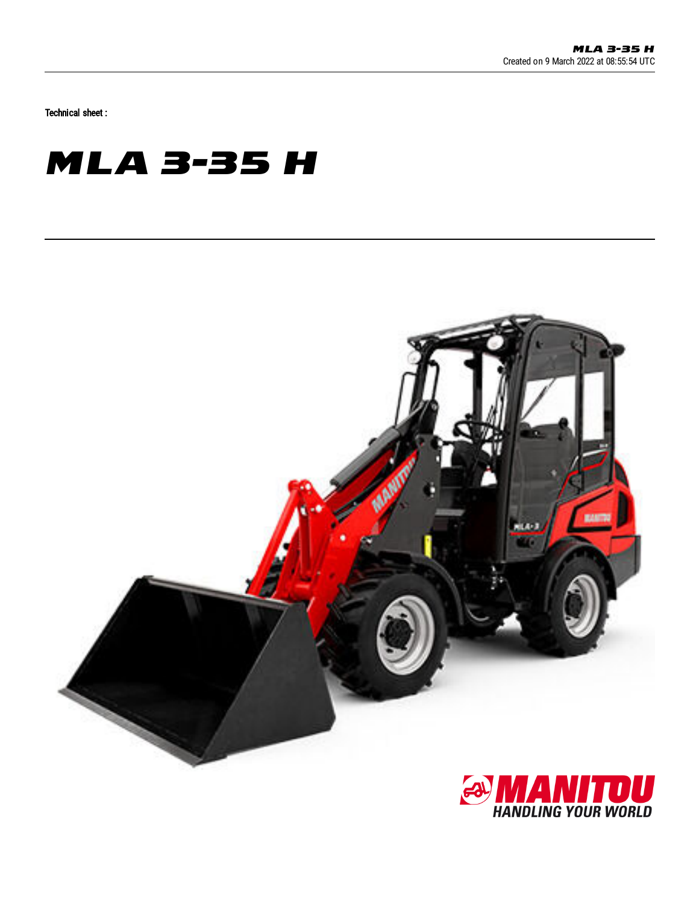Technical sheet :

## **MLA 3-35 H**



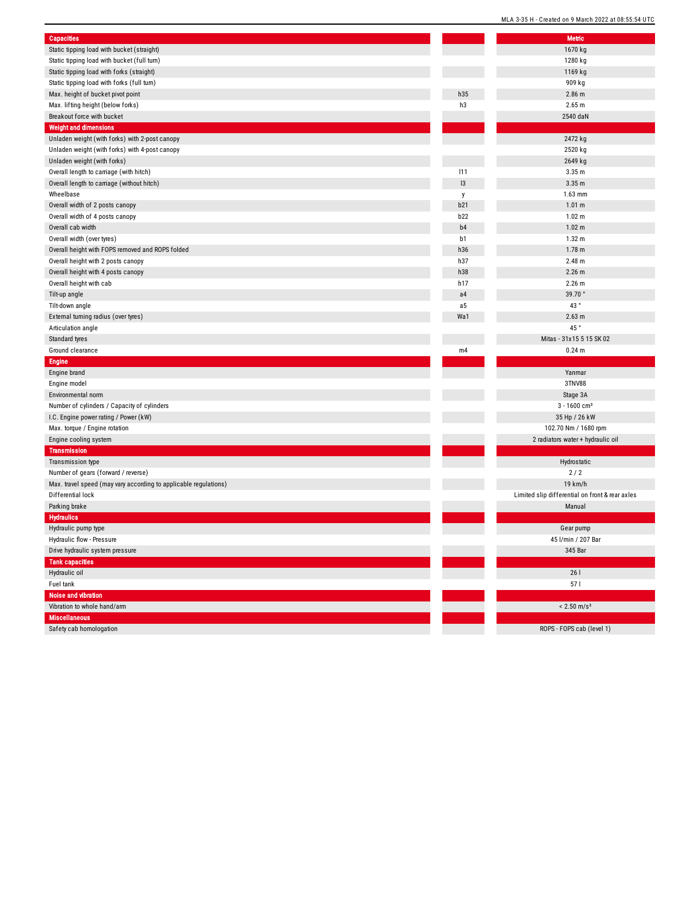| <b>Capacities</b>                                                |                | <b>Metric</b>                            |
|------------------------------------------------------------------|----------------|------------------------------------------|
| Static tipping load with bucket (straight)                       |                | 1670 kg                                  |
| Static tipping load with bucket (full turn)                      |                | 1280 kg                                  |
| Static tipping load with forks (straight)                        |                | 1169 kg                                  |
| Static tipping load with forks (full turn)                       |                | 909 kg                                   |
| Max. height of bucket pivot point                                | h35            | $2.86$ m                                 |
| Max. lifting height (below forks)                                | h3             | 2.65 m                                   |
| Breakout force with bucket                                       |                | 2540 daN                                 |
| <b>Weight and dimensions</b>                                     |                |                                          |
| Unladen weight (with forks) with 2-post canopy                   |                | 2472 kg                                  |
| Unladen weight (with forks) with 4-post canopy                   |                | 2520 kg                                  |
| Unladen weight (with forks)                                      |                | 2649 kg                                  |
| Overall length to carriage (with hitch)                          | 111            | 3.35 <sub>m</sub>                        |
| Overall length to carriage (without hitch)                       | 3              | 3.35 <sub>m</sub>                        |
| Wheelbase                                                        | y              | 1.63 mm                                  |
| Overall width of 2 posts canopy                                  | b21            | 1.01 m                                   |
| Overall width of 4 posts canopy                                  | b22            | 1.02 m                                   |
| Overall cab width                                                | b <sub>4</sub> | 1.02 m                                   |
|                                                                  | b1             | 1.32 <sub>m</sub>                        |
| Overall width (over tyres)                                       |                | 1.78 <sub>m</sub>                        |
| Overall height with FOPS removed and ROPS folded                 | h36            |                                          |
| Overall height with 2 posts canopy                               | h37            | 2.48 m                                   |
| Overall height with 4 posts canopy                               | h38            | $2.26$ m                                 |
| Overall height with cab                                          | h17            | 2.26 m                                   |
| Tilt-up angle                                                    | a4             | 39.70°                                   |
| Tilt-down angle                                                  | a <sub>5</sub> | 43°                                      |
| External turning radius (over tyres)                             | Wa1            | 2.63 m                                   |
| Articulation angle                                               |                | 45 °                                     |
| Standard tyres                                                   |                | Mitas - 31x15 5 15 SK 02                 |
| Ground clearance                                                 | m4             | 0.24 <sub>m</sub>                        |
| Engine                                                           |                |                                          |
| Engine brand                                                     |                | Yanmar                                   |
| Engine model                                                     |                | 3TNV88                                   |
| Environmental norm                                               |                | Stage 3A                                 |
| Number of cylinders / Capacity of cylinders                      |                | $3 - 1600$ cm <sup>3</sup>               |
| I.C. Engine power rating / Power (kW)                            |                | 35 Hp / 26 kW                            |
| Max. torque / Engine rotation                                    |                | 102.70 Nm / 1680 rpm                     |
| Engine cooling system                                            |                | 2 radiators water + hydraulic oil        |
| <b>Transmission</b>                                              |                |                                          |
| Transmission type                                                |                | Hydrostatic                              |
| Number of gears (forward / reverse)                              |                | 2/2                                      |
| Max. travel speed (may vary according to applicable regulations) |                | 19 km/h                                  |
| Differential lock                                                |                | Limited slip differential on front & rea |
| Parking brake                                                    |                | Manual                                   |
| <b>Hydraulics</b>                                                |                |                                          |
| Hydraulic pump type                                              |                | Gear pump                                |
| Hydraulic flow - Pressure                                        |                | 45 l/min / 207 Bar                       |
| Drive hydraulic system pressure                                  |                | 345 Bar                                  |
| <b>Tank capacities</b>                                           |                |                                          |
| Hydraulic oil                                                    |                | 261                                      |
| Fuel tank                                                        |                | 571                                      |
| Noise and vibration                                              |                |                                          |
| Vibration to whole hand/arm                                      |                | $< 2.50$ m/s <sup>2</sup>                |
| <b>Miscellaneous</b>                                             |                |                                          |
| Safety cab homologation                                          |                | ROPS - FOPS cab (level 1)                |
|                                                                  |                |                                          |

|                | <b>Metric</b>                                   |
|----------------|-------------------------------------------------|
|                | 1670 kg                                         |
|                | 1280 kg                                         |
|                | 1169 kg                                         |
|                | 909 kg                                          |
| 5              | 2.86 <sub>m</sub>                               |
| 3              | 2.65 m                                          |
|                | 2540 daN                                        |
|                | 2472 kg                                         |
|                | 2520 kg                                         |
|                | 2649 kg                                         |
| 1              | 3.35 <sub>m</sub>                               |
| š              | 3.35 <sub>m</sub>                               |
|                | 1.63 mm                                         |
| 1              | 1.01 m                                          |
| $\overline{c}$ | 1.02 <sub>m</sub>                               |
| 4              | 1.02 <sub>m</sub>                               |
| ı              | 1.32 <sub>m</sub>                               |
| 6              | 1.78 <sub>m</sub>                               |
| 7              | 2.48 m                                          |
| 8              | 2.26 m                                          |
| 7              | $2.26$ m                                        |
| 4              | 39.70°                                          |
| 5              | 43°                                             |
| ı1             | 2.63 m                                          |
|                | 45°                                             |
|                | Mitas - 31x15 5 15 SK 02                        |
| 4              | 0.24 m                                          |
|                |                                                 |
|                | Yanmar                                          |
|                | 3TNV88                                          |
|                | Stage 3A                                        |
|                | $3 - 1600$ cm <sup>3</sup>                      |
|                | 35 Hp / 26 kW                                   |
|                | 102.70 Nm / 1680 rpm                            |
|                | 2 radiators water + hydraulic oil               |
|                |                                                 |
|                | Hydrostatic<br>2/2                              |
|                | 19 km/h                                         |
|                | Limited slip differential on front & rear axles |
|                | Manual                                          |
|                |                                                 |
|                | Gear pump                                       |
|                | 45 l/min / 207 Bar                              |
|                | 345 Bar                                         |
|                |                                                 |
|                | 261                                             |
|                | 57 I                                            |
|                |                                                 |
|                | $< 2.50$ m/s <sup>2</sup>                       |
|                |                                                 |
|                | ROPS - FOPS cab (level 1)                       |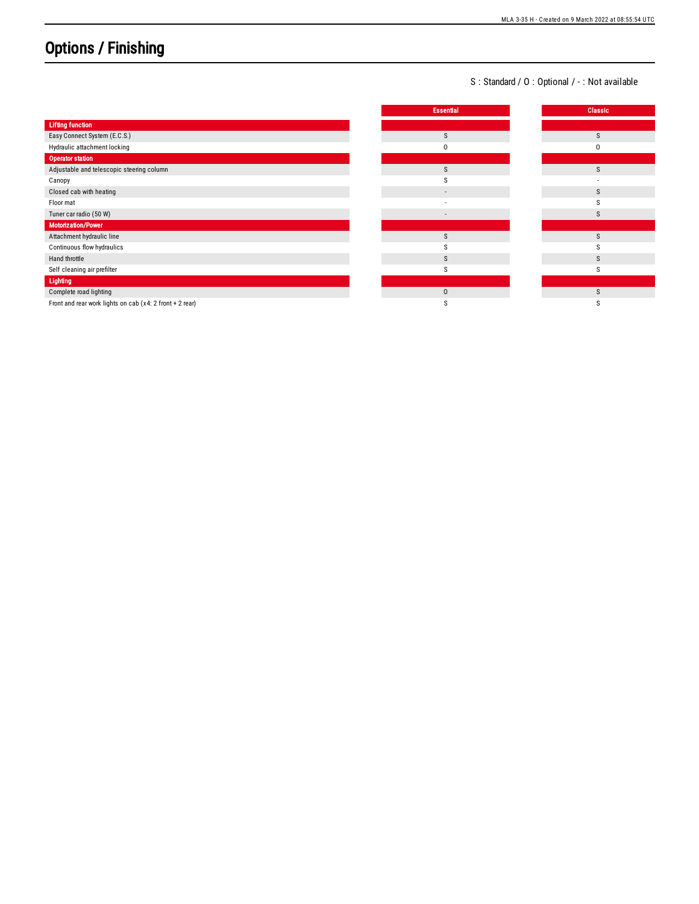## Options / Finishing

## S : Standard / O : Optional / - : Not available

|                                                          | <b>Essential</b> | <b>Classic</b> |
|----------------------------------------------------------|------------------|----------------|
| <b>Lifting function</b>                                  |                  |                |
| Easy Connect System (E.C.S.)                             | S                | S              |
| Hydraulic attachment locking                             | O                | 0              |
| <b>Operator station</b>                                  |                  |                |
| Adjustable and telescopic steering column                | S                | S              |
| Canopy                                                   |                  |                |
| Closed cab with heating                                  | $\sim$           | S              |
| Floor mat                                                |                  |                |
| Tuner car radio (50 W)                                   | $\sim$           | S              |
| <b>Motorization/Power</b>                                |                  |                |
| Attachment hydraulic line                                | S                | S              |
| Continuous flow hydraulics                               |                  |                |
| Hand throttle                                            | S                | S              |
| Self cleaning air prefilter                              | s                | S              |
| Lighting                                                 |                  |                |
| Complete road lighting                                   | $\mathbf{0}$     | S              |
| Front and rear work lights on cab (x4: 2 front + 2 rear) |                  |                |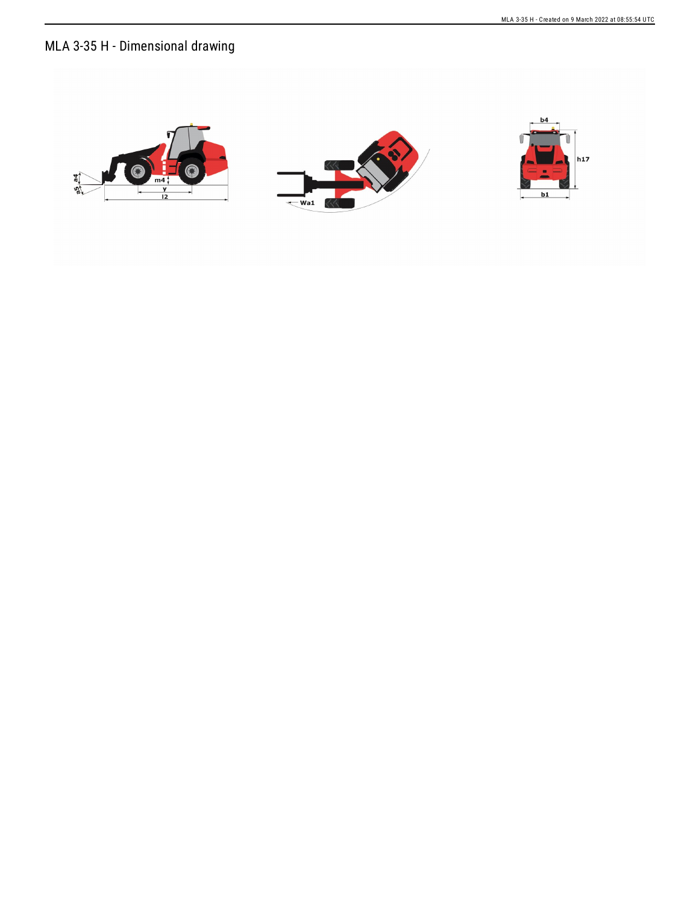## MLA 3-35 H - Dimensional drawing